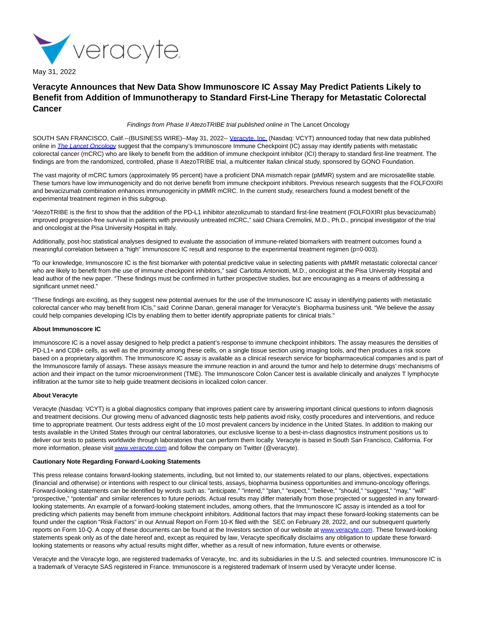

May 31, 2022

# **Veracyte Announces that New Data Show Immunoscore IC Assay May Predict Patients Likely to Benefit from Addition of Immunotherapy to Standard First-Line Therapy for Metastatic Colorectal Cancer**

### Findings from Phase II AtezoTRIBE trial published online in The Lancet Oncology

SOUTH SAN FRANCISCO, Calif.--(BUSINESS WIRE)--May 31, 2022-- [Veracyte, Inc. \(](https://cts.businesswire.com/ct/CT?id=smartlink&url=http%3A%2F%2Fwww.veracyte.com%2F&esheet=52735772&newsitemid=20220531005991&lan=en-US&anchor=Veracyte%2C+Inc.&index=1&md5=6f5662dc98eb442079dc6e7fe0531707)Nasdaq: VCYT) announced today that new data published online in *[The Lancet Oncology](https://cts.businesswire.com/ct/CT?id=smartlink&url=https%3A%2F%2Fwww.thelancet.com%2Fjournals%2Flanonc%2Farticle%2FPIIS1470-2045%252822%252900274-1%2Ffulltext&esheet=52735772&newsitemid=20220531005991&lan=en-US&anchor=The+Lancet+Oncology&index=2&md5=2349240e652b6b875b3d6918ebbdbe5d)* suggest that the company's Immunoscore Immune Checkpoint (IC) assay may identify patients with metastatic colorectal cancer (mCRC) who are likely to benefit from the addition of immune checkpoint inhibitor (ICI) therapy to standard first-line treatment. The findings are from the randomized, controlled, phase II AtezoTRIBE trial, a multicenter Italian clinical study, sponsored by GONO Foundation.

The vast majority of mCRC tumors (approximately 95 percent) have a proficient DNA mismatch repair (pMMR) system and are microsatellite stable. These tumors have low immunogenicity and do not derive benefit from immune checkpoint inhibitors. Previous research suggests that the FOLFOXIRI and bevacizumab combination enhances immunogenicity in pMMR mCRC. In the current study, researchers found a modest benefit of the experimental treatment regimen in this subgroup.

"AtezoTRIBE is the first to show that the addition of the PD-L1 inhibitor atezolizumab to standard first-line treatment (FOLFOXIRI plus bevacizumab) improved progression-free survival in patients with previously untreated mCRC," said Chiara Cremolini, M.D., Ph.D., principal investigator of the trial and oncologist at the Pisa University Hospital in Italy.

Additionally, post-hoc statistical analyses designed to evaluate the association of immune-related biomarkers with treatment outcomes found a meaningful correlation between a "high" Immunoscore IC result and response to the experimental treatment regimen (p=0·003).

"To our knowledge, Immunoscore IC is the first biomarker with potential predictive value in selecting patients with pMMR metastatic colorectal cancer who are likely to benefit from the use of immune checkpoint inhibitors," said Carlotta Antoniotti, M.D., oncologist at the Pisa University Hospital and lead author of the new paper. "These findings must be confirmed in further prospective studies, but are encouraging as a means of addressing a significant unmet need."

"These findings are exciting, as they suggest new potential avenues for the use of the Immunoscore IC assay in identifying patients with metastatic colorectal cancer who may benefit from ICIs," said Corinne Danan, general manager for Veracyte's Biopharma business unit. "We believe the assay could help companies developing ICIs by enabling them to better identify appropriate patients for clinical trials."

#### **About Immunoscore IC**

Immunoscore IC is a novel assay designed to help predict a patient's response to immune checkpoint inhibitors. The assay measures the densities of PD-L1+ and CD8+ cells, as well as the proximity among these cells, on a single tissue section using imaging tools, and then produces a risk score based on a proprietary algorithm. The Immunoscore IC assay is available as a clinical research service for biopharmaceutical companies and is part of the Immunoscore family of assays. These assays measure the immune reaction in and around the tumor and help to determine drugs' mechanisms of action and their impact on the tumor microenvironment (TME). The Immunoscore Colon Cancer test is available clinically and analyzes T lymphocyte infiltration at the tumor site to help guide treatment decisions in localized colon cancer.

#### **About Veracyte**

Veracyte (Nasdaq: VCYT) is a global diagnostics company that improves patient care by answering important clinical questions to inform diagnosis and treatment decisions. Our growing menu of advanced diagnostic tests help patients avoid risky, costly procedures and interventions, and reduce time to appropriate treatment. Our tests address eight of the 10 most prevalent cancers by incidence in the United States. In addition to making our tests available in the United States through our central laboratories, our exclusive license to a best-in-class diagnostics instrument positions us to deliver our tests to patients worldwide through laboratories that can perform them locally. Veracyte is based in South San Francisco, California. For more information, please visi[t www.veracyte.com a](https://cts.businesswire.com/ct/CT?id=smartlink&url=http%3A%2F%2Fwww.veracyte.com&esheet=52735772&newsitemid=20220531005991&lan=en-US&anchor=www.veracyte.com&index=3&md5=2df3db382d5a4c6472dc2c47d9196a87)nd follow the company on Twitter (@veracyte).

#### **Cautionary Note Regarding Forward-Looking Statements**

This press release contains forward-looking statements, including, but not limited to, our statements related to our plans, objectives, expectations (financial and otherwise) or intentions with respect to our clinical tests, assays, biopharma business opportunities and immuno-oncology offerings. Forward-looking statements can be identified by words such as: "anticipate," "intend," "plan," "expect," "believe," "should," "suggest," "may," "will" "prospective," "potential" and similar references to future periods. Actual results may differ materially from those projected or suggested in any forwardlooking statements. An example of a forward-looking statement includes, among others, that the Immunoscore IC assay is intended as a tool for predicting which patients may benefit from immune checkpoint inhibitors. Additional factors that may impact these forward-looking statements can be found under the caption "Risk Factors" in our Annual Report on Form 10-K filed with the SEC on February 28, 2022, and our subsequent quarterly reports on Form 10-Q. A copy of these documents can be found at the Investors section of our website at [www.veracyte.com.](https://cts.businesswire.com/ct/CT?id=smartlink&url=http%3A%2F%2Fwww.veracyte.com&esheet=52735772&newsitemid=20220531005991&lan=en-US&anchor=www.veracyte.com&index=4&md5=32d55287a663051f400b261739fea437) These forward-looking statements speak only as of the date hereof and, except as required by law, Veracyte specifically disclaims any obligation to update these forwardlooking statements or reasons why actual results might differ, whether as a result of new information, future events or otherwise.

Veracyte and the Veracyte logo, are registered trademarks of Veracyte, Inc. and its subsidiaries in the U.S. and selected countries. Immunoscore IC is a trademark of Veracyte SAS registered in France. Immunoscore is a registered trademark of Inserm used by Veracyte under license.